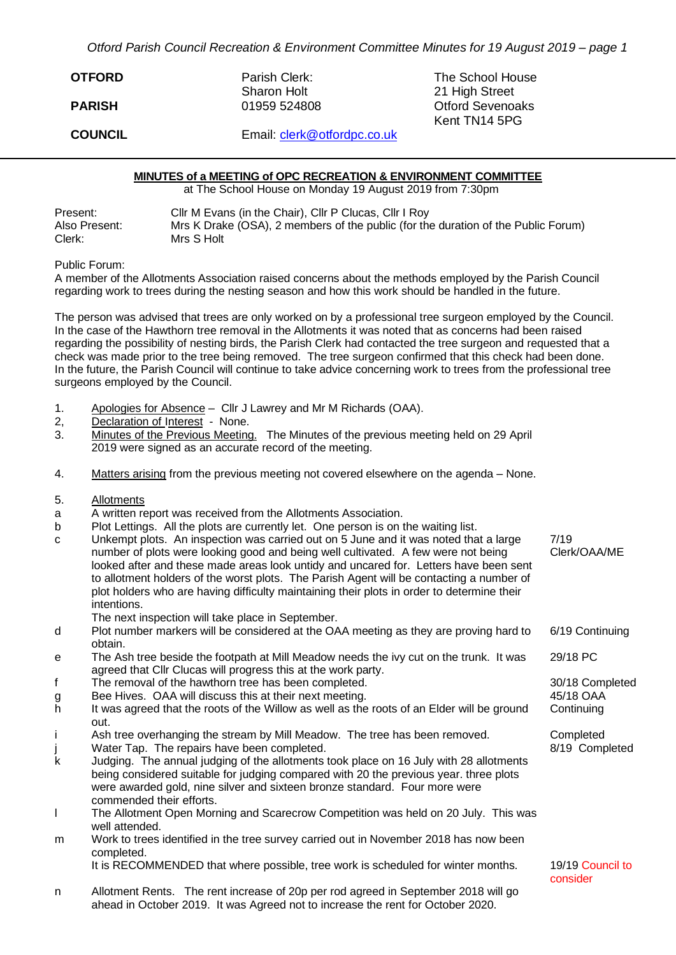*Otford Parish Council Recreation & Environment Committee Minutes for 19 August 2019 – page 1*

| <b>OTFORD</b>  | Parish Clerk:<br><b>Sharon Holt</b> | The School House<br>21 High Street       |
|----------------|-------------------------------------|------------------------------------------|
| <b>PARISH</b>  | 01959 524808                        | <b>Otford Sevenoaks</b><br>Kent TN14 5PG |
| <b>COUNCIL</b> | Email: clerk@otfordpc.co.uk         |                                          |

## **MINUTES of a MEETING of OPC RECREATION & ENVIRONMENT COMMITTEE**

at The School House on Monday 19 August 2019 from 7:30pm

| Present:      | Cllr M Evans (in the Chair), Cllr P Clucas, Cllr I Roy                            |
|---------------|-----------------------------------------------------------------------------------|
| Also Present: | Mrs K Drake (OSA), 2 members of the public (for the duration of the Public Forum) |
| Clerk:        | Mrs S Holt                                                                        |

Public Forum:

A member of the Allotments Association raised concerns about the methods employed by the Parish Council regarding work to trees during the nesting season and how this work should be handled in the future.

The person was advised that trees are only worked on by a professional tree surgeon employed by the Council. In the case of the Hawthorn tree removal in the Allotments it was noted that as concerns had been raised regarding the possibility of nesting birds, the Parish Clerk had contacted the tree surgeon and requested that a check was made prior to the tree being removed. The tree surgeon confirmed that this check had been done. In the future, the Parish Council will continue to take advice concerning work to trees from the professional tree surgeons employed by the Council.

- 1. Apologies for Absence Cllr J Lawrey and Mr M Richards (OAA).<br>2. Declaration of Interest None.
- Declaration of Interest None.
- 3. Minutes of the Previous Meeting. The Minutes of the previous meeting held on 29 April 2019 were signed as an accurate record of the meeting.
- 4. Matters arising from the previous meeting not covered elsewhere on the agenda None.
- 5. Allotments
- a A written report was received from the Allotments Association.
- b Plot Lettings. All the plots are currently let. One person is on the waiting list.
- c Unkempt plots. An inspection was carried out on 5 June and it was noted that a large number of plots were looking good and being well cultivated. A few were not being looked after and these made areas look untidy and uncared for. Letters have been sent to allotment holders of the worst plots. The Parish Agent will be contacting a number of plot holders who are having difficulty maintaining their plots in order to determine their intentions. 7/19 Clerk/OAA/ME
	- The next inspection will take place in September.
- d Plot number markers will be considered at the OAA meeting as they are proving hard to obtain. 6/19 Continuing 29/18 PC
- e The Ash tree beside the footpath at Mill Meadow needs the ivy cut on the trunk. It was agreed that Cllr Clucas will progress this at the work party.
- f The removal of the hawthorn tree has been completed. 30/18 Completed
- g Bee Hives. OAA will discuss this at their next meeting. 45/18 OAA
- h It was agreed that the roots of the Willow as well as the roots of an Elder will be ground out.
- i Ash tree overhanging the stream by Mill Meadow. The tree has been removed. Completed
- i Water Tap. The repairs have been completed. The state of the state of the SM 8/19 Completed
- k Judging. The annual judging of the allotments took place on 16 July with 28 allotments being considered suitable for judging compared with 20 the previous year. three plots were awarded gold, nine silver and sixteen bronze standard. Four more were commended their efforts.
- l The Allotment Open Morning and Scarecrow Competition was held on 20 July. This was well attended.
- m Work to trees identified in the tree survey carried out in November 2018 has now been completed.

It is RECOMMENDED that where possible, tree work is scheduled for winter months. 19/19 Council to

n Allotment Rents. The rent increase of 20p per rod agreed in September 2018 will go ahead in October 2019. It was Agreed not to increase the rent for October 2020.

consider

**Continuing**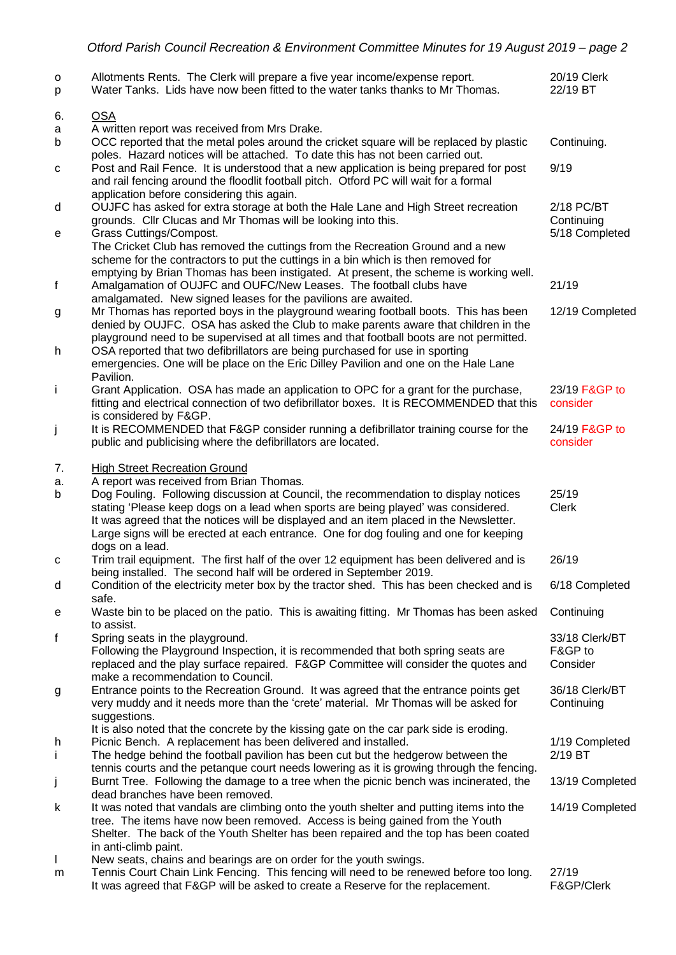| о<br>р  | Allotments Rents. The Clerk will prepare a five year income/expense report.<br>Water Tanks. Lids have now been fitted to the water tanks thanks to Mr Thomas.                                                                  | 20/19 Clerk<br>22/19 BT   |
|---------|--------------------------------------------------------------------------------------------------------------------------------------------------------------------------------------------------------------------------------|---------------------------|
| 6.      | <b>OSA</b>                                                                                                                                                                                                                     |                           |
| a       | A written report was received from Mrs Drake.                                                                                                                                                                                  |                           |
| b       | OCC reported that the metal poles around the cricket square will be replaced by plastic<br>poles. Hazard notices will be attached. To date this has not been carried out.                                                      | Continuing.               |
| с       | Post and Rail Fence. It is understood that a new application is being prepared for post<br>and rail fencing around the floodlit football pitch. Otford PC will wait for a formal<br>application before considering this again. | 9/19                      |
| d       | OUJFC has asked for extra storage at both the Hale Lane and High Street recreation                                                                                                                                             | 2/18 PC/BT                |
|         | grounds. Cllr Clucas and Mr Thomas will be looking into this.                                                                                                                                                                  | Continuing                |
| е       | Grass Cuttings/Compost.<br>The Cricket Club has removed the cuttings from the Recreation Ground and a new                                                                                                                      | 5/18 Completed            |
|         | scheme for the contractors to put the cuttings in a bin which is then removed for                                                                                                                                              |                           |
|         | emptying by Brian Thomas has been instigated. At present, the scheme is working well.                                                                                                                                          |                           |
| f       | Amalgamation of OUJFC and OUFC/New Leases. The football clubs have<br>amalgamated. New signed leases for the pavilions are awaited.                                                                                            | 21/19                     |
| g       | Mr Thomas has reported boys in the playground wearing football boots. This has been                                                                                                                                            | 12/19 Completed           |
|         | denied by OUJFC. OSA has asked the Club to make parents aware that children in the<br>playground need to be supervised at all times and that football boots are not permitted.                                                 |                           |
| h       | OSA reported that two defibrillators are being purchased for use in sporting                                                                                                                                                   |                           |
|         | emergencies. One will be place on the Eric Dilley Pavilion and one on the Hale Lane                                                                                                                                            |                           |
| i.      | Pavilion.<br>Grant Application. OSA has made an application to OPC for a grant for the purchase,                                                                                                                               | 23/19 F&GP to             |
|         | fitting and electrical connection of two defibrillator boxes. It is RECOMMENDED that this                                                                                                                                      | consider                  |
|         | is considered by F&GP.                                                                                                                                                                                                         |                           |
| j       | It is RECOMMENDED that F&GP consider running a defibrillator training course for the<br>public and publicising where the defibrillators are located.                                                                           | 24/19 F&GP to<br>consider |
|         |                                                                                                                                                                                                                                |                           |
| 7.      | <b>High Street Recreation Ground</b>                                                                                                                                                                                           |                           |
| a.<br>b | A report was received from Brian Thomas.<br>Dog Fouling. Following discussion at Council, the recommendation to display notices                                                                                                | 25/19                     |
|         | stating 'Please keep dogs on a lead when sports are being played' was considered.                                                                                                                                              | <b>Clerk</b>              |
|         | It was agreed that the notices will be displayed and an item placed in the Newsletter.                                                                                                                                         |                           |
|         | Large signs will be erected at each entrance. One for dog fouling and one for keeping                                                                                                                                          |                           |
| с       | dogs on a lead.<br>Trim trail equipment. The first half of the over 12 equipment has been delivered and is                                                                                                                     | 26/19                     |
|         | being installed. The second half will be ordered in September 2019.                                                                                                                                                            |                           |
| d       | Condition of the electricity meter box by the tractor shed. This has been checked and is                                                                                                                                       | 6/18 Completed            |
| е       | safe.<br>Waste bin to be placed on the patio. This is awaiting fitting. Mr Thomas has been asked                                                                                                                               | Continuing                |
|         | to assist.                                                                                                                                                                                                                     |                           |
| f       | Spring seats in the playground.                                                                                                                                                                                                | 33/18 Clerk/BT            |
|         | Following the Playground Inspection, it is recommended that both spring seats are<br>replaced and the play surface repaired. F&GP Committee will consider the quotes and                                                       | F&GP to<br>Consider       |
|         | make a recommendation to Council.                                                                                                                                                                                              |                           |
| g       | Entrance points to the Recreation Ground. It was agreed that the entrance points get                                                                                                                                           | 36/18 Clerk/BT            |
|         | very muddy and it needs more than the 'crete' material. Mr Thomas will be asked for                                                                                                                                            | Continuing                |
|         | suggestions.<br>It is also noted that the concrete by the kissing gate on the car park side is eroding.                                                                                                                        |                           |
| h       | Picnic Bench. A replacement has been delivered and installed.                                                                                                                                                                  | 1/19 Completed            |
| Ť.      | The hedge behind the football pavilion has been cut but the hedgerow between the                                                                                                                                               | 2/19 BT                   |
|         | tennis courts and the petanque court needs lowering as it is growing through the fencing.<br>Burnt Tree. Following the damage to a tree when the picnic bench was incinerated, the                                             | 13/19 Completed           |
| j       | dead branches have been removed.                                                                                                                                                                                               |                           |
| k       | It was noted that vandals are climbing onto the youth shelter and putting items into the                                                                                                                                       | 14/19 Completed           |
|         | tree. The items have now been removed. Access is being gained from the Youth                                                                                                                                                   |                           |
|         | Shelter. The back of the Youth Shelter has been repaired and the top has been coated<br>in anti-climb paint.                                                                                                                   |                           |
| L       | New seats, chains and bearings are on order for the youth swings.                                                                                                                                                              |                           |
| m       | Tennis Court Chain Link Fencing. This fencing will need to be renewed before too long                                                                                                                                          | 27/10                     |

m Tennis Court Chain Link Fencing. This fencing will need to be renewed before too long. 27/19 It was agreed that F&GP will be asked to create a Reserve for the replacement. F&GP/Clerk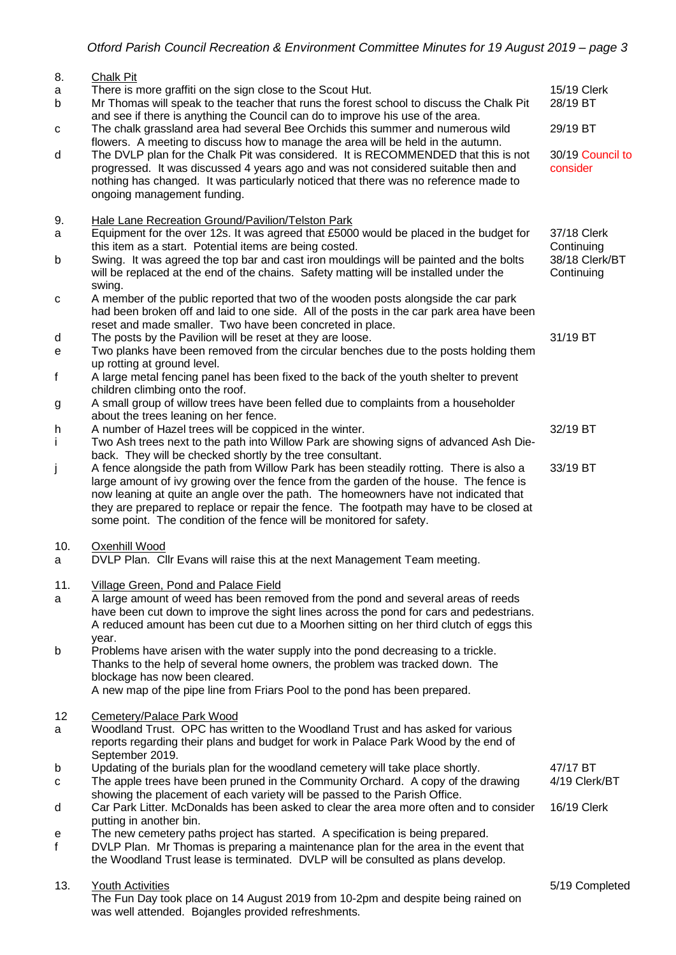| 8.<br>a<br>b<br>с | Chalk Pit<br>There is more graffiti on the sign close to the Scout Hut.<br>Mr Thomas will speak to the teacher that runs the forest school to discuss the Chalk Pit<br>and see if there is anything the Council can do to improve his use of the area.<br>The chalk grassland area had several Bee Orchids this summer and numerous wild                                                                                                  | 15/19 Clerk<br>28/19 BT<br>29/19 BT                       |
|-------------------|-------------------------------------------------------------------------------------------------------------------------------------------------------------------------------------------------------------------------------------------------------------------------------------------------------------------------------------------------------------------------------------------------------------------------------------------|-----------------------------------------------------------|
| d                 | flowers. A meeting to discuss how to manage the area will be held in the autumn.<br>The DVLP plan for the Chalk Pit was considered. It is RECOMMENDED that this is not<br>progressed. It was discussed 4 years ago and was not considered suitable then and<br>nothing has changed. It was particularly noticed that there was no reference made to<br>ongoing management funding.                                                        | 30/19 Council to<br>consider                              |
| 9.<br>a<br>b      | Hale Lane Recreation Ground/Pavilion/Telston Park<br>Equipment for the over 12s. It was agreed that £5000 would be placed in the budget for<br>this item as a start. Potential items are being costed.<br>Swing. It was agreed the top bar and cast iron mouldings will be painted and the bolts<br>will be replaced at the end of the chains. Safety matting will be installed under the                                                 | 37/18 Clerk<br>Continuing<br>38/18 Clerk/BT<br>Continuing |
| С                 | swing.<br>A member of the public reported that two of the wooden posts alongside the car park<br>had been broken off and laid to one side. All of the posts in the car park area have been                                                                                                                                                                                                                                                |                                                           |
| d<br>e            | reset and made smaller. Two have been concreted in place.<br>The posts by the Pavilion will be reset at they are loose.<br>Two planks have been removed from the circular benches due to the posts holding them<br>up rotting at ground level.                                                                                                                                                                                            | 31/19 BT                                                  |
| f<br>g            | A large metal fencing panel has been fixed to the back of the youth shelter to prevent<br>children climbing onto the roof.<br>A small group of willow trees have been felled due to complaints from a householder                                                                                                                                                                                                                         |                                                           |
| h<br>j.           | about the trees leaning on her fence.<br>A number of Hazel trees will be coppiced in the winter.<br>Two Ash trees next to the path into Willow Park are showing signs of advanced Ash Die-<br>back. They will be checked shortly by the tree consultant.                                                                                                                                                                                  | 32/19 BT                                                  |
| j                 | A fence alongside the path from Willow Park has been steadily rotting. There is also a<br>large amount of ivy growing over the fence from the garden of the house. The fence is<br>now leaning at quite an angle over the path. The homeowners have not indicated that<br>they are prepared to replace or repair the fence. The footpath may have to be closed at<br>some point. The condition of the fence will be monitored for safety. | 33/19 BT                                                  |
| 10.<br>a          | Oxenhill Wood<br>DVLP Plan. Cllr Evans will raise this at the next Management Team meeting.                                                                                                                                                                                                                                                                                                                                               |                                                           |
| 11.<br>a          | <b>Village Green, Pond and Palace Field</b><br>A large amount of weed has been removed from the pond and several areas of reeds<br>have been cut down to improve the sight lines across the pond for cars and pedestrians.<br>A reduced amount has been cut due to a Moorhen sitting on her third clutch of eggs this<br>year.                                                                                                            |                                                           |
| b                 | Problems have arisen with the water supply into the pond decreasing to a trickle.<br>Thanks to the help of several home owners, the problem was tracked down. The<br>blockage has now been cleared.<br>A new map of the pipe line from Friars Pool to the pond has been prepared.                                                                                                                                                         |                                                           |
| 12<br>a           | Cemetery/Palace Park Wood<br>Woodland Trust. OPC has written to the Woodland Trust and has asked for various<br>reports regarding their plans and budget for work in Palace Park Wood by the end of<br>September 2019.                                                                                                                                                                                                                    |                                                           |
| b<br>с            | Updating of the burials plan for the woodland cemetery will take place shortly.<br>The apple trees have been pruned in the Community Orchard. A copy of the drawing<br>showing the placement of each variety will be passed to the Parish Office.                                                                                                                                                                                         | 47/17 BT<br>4/19 Clerk/BT                                 |
| d                 | Car Park Litter. McDonalds has been asked to clear the area more often and to consider<br>putting in another bin.                                                                                                                                                                                                                                                                                                                         | 16/19 Clerk                                               |
| e<br>$\mathbf{f}$ | The new cemetery paths project has started. A specification is being prepared.<br>DVLP Plan. Mr Thomas is preparing a maintenance plan for the area in the event that<br>the Woodland Trust lease is terminated. DVLP will be consulted as plans develop.                                                                                                                                                                                 |                                                           |
| 13.               | <b>Youth Activities</b><br>The Fun Day took place on 14 August 2019 from 10-2pm and despite being rained on<br>was well attended. Bojangles provided refreshments.                                                                                                                                                                                                                                                                        | 5/19 Completed                                            |